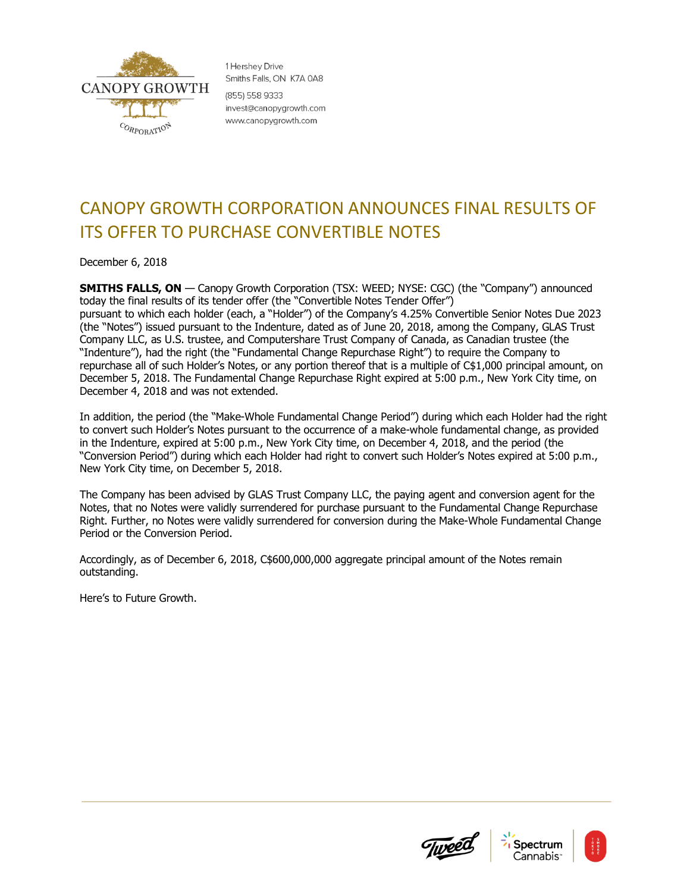

1 Hershev Drive Smiths Falls, ON K7A 0A8 (855) 558 9333 invest@canopygrowth.com www.canopygrowth.com

## CANOPY GROWTH CORPORATION ANNOUNCES FINAL RESULTS OF ITS OFFER TO PURCHASE CONVERTIBLE NOTES

December 6, 2018

**SMITHS FALLS, ON** — Canopy Growth Corporation (TSX: WEED; NYSE: CGC) (the "Company") announced today the final results of its tender offer (the "Convertible Notes Tender Offer") pursuant to which each holder (each, a "Holder") of the Company's 4.25% Convertible Senior Notes Due 2023 (the "Notes") issued pursuant to the Indenture, dated as of June 20, 2018, among the Company, GLAS Trust Company LLC, as U.S. trustee, and Computershare Trust Company of Canada, as Canadian trustee (the "Indenture"), had the right (the "Fundamental Change Repurchase Right") to require the Company to repurchase all of such Holder's Notes, or any portion thereof that is a multiple of C\$1,000 principal amount, on December 5, 2018. The Fundamental Change Repurchase Right expired at 5:00 p.m., New York City time, on December 4, 2018 and was not extended.

In addition, the period (the "Make-Whole Fundamental Change Period") during which each Holder had the right to convert such Holder's Notes pursuant to the occurrence of a make-whole fundamental change, as provided in the Indenture, expired at 5:00 p.m., New York City time, on December 4, 2018, and the period (the "Conversion Period") during which each Holder had right to convert such Holder's Notes expired at 5:00 p.m., New York City time, on December 5, 2018.

The Company has been advised by GLAS Trust Company LLC, the paying agent and conversion agent for the Notes, that no Notes were validly surrendered for purchase pursuant to the Fundamental Change Repurchase Right. Further, no Notes were validly surrendered for conversion during the Make-Whole Fundamental Change Period or the Conversion Period.

Accordingly, as of December 6, 2018, C\$600,000,000 aggregate principal amount of the Notes remain outstanding.

Here's to Future Growth.